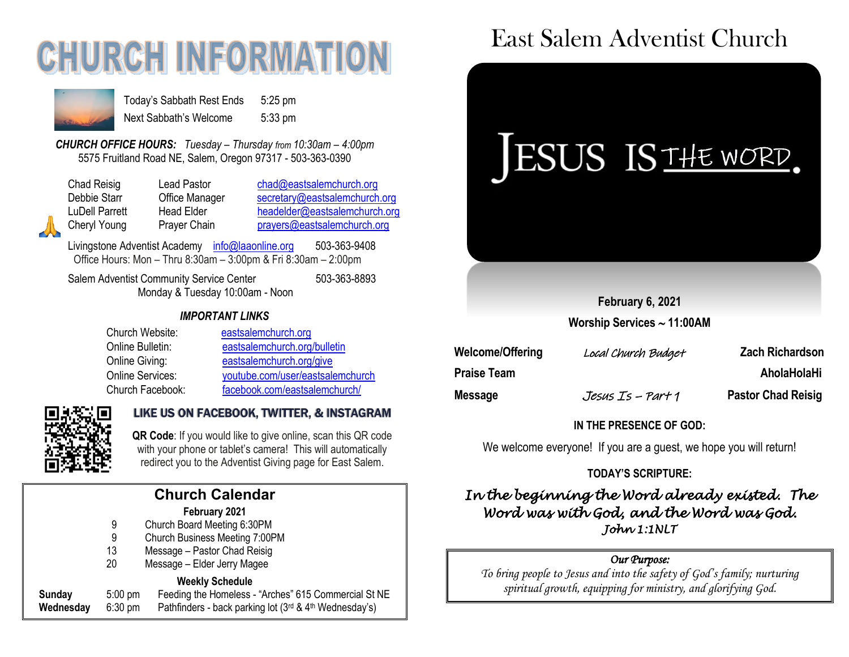# **CHURCH INFORMATION**



Today's Sabbath Rest Ends 5:25 pm Next Sabbath's Welcome 5:33 pm

*CHURCH OFFICE HOURS: Tuesday – Thursday from 10:30am – 4:00pm* 5575 Fruitland Road NE, Salem, Oregon 97317 - 503-363-0390

Chad Reisig Chad Pastor Chad@eastsalemchurch.org Debbie Starr Cffice Manager [secretary@eastsalemchurch.org](mailto:secretary@eastsalemchurch.org) LuDell Parrett Head Elder [headelder@eastsalemchurch.org](mailto:headelder@eastsalemchurch.org) Cheryl Young Prayer Chain [prayers@eastsalemchurch.org](mailto:prayers@eastsalemchurch.org)

Livingstone Adventist Academy [info@laaonline.org](mailto:info@laaonline.org) 503-363-9408 Office Hours: Mon – Thru 8:30am – 3:00pm & Fri 8:30am – 2:00pm

Salem Adventist Community Service Center 503-363-8893 Monday & Tuesday 10:00am - Noon

#### *IMPORTANT LINKS*

| Church Website:  | eastsalemchurch.org              |
|------------------|----------------------------------|
| Online Bulletin: | eastsalemchurch.org/bulletin     |
| Online Giving:   | eastsalemchurch.org/give         |
| Online Services: | youtube.com/user/eastsalemchurch |
| Church Facebook: | facebook.com/eastsalemchurch/    |



#### LIKE US ON FACEBOOK, TWITTER, & INSTAGRAM

 **QR Code**: If you would like to give online, scan this QR code with your phone or tablet's camera! This will automatically redirect you to the Adventist Giving page for East Salem.

#### **Church Calendar February 2021**

- 9 Church Board Meeting 6:30PM
- 9 Church Business Meeting 7:00PM
- 13 Message Pastor Chad Reisig
- 20 Message Elder Jerry Magee

#### **Weekly Schedule**

| Sunday    | $5:00$ pm         | $\cdots$<br>Feeding the Homeless - "Arches" 615 Commercial St NE        |
|-----------|-------------------|-------------------------------------------------------------------------|
| Wednesday | $6:30 \text{ pm}$ | Pathfinders - back parking lot $(3^{rd}$ & 4 <sup>th</sup> Wednesday's) |

## East Salem Adventist Church



**February 6, 2021**

**Worship Services 11:00AM**

| <b>Welcome/Offering</b> | Local Church Budget | <b>Zach Richardson</b>    |
|-------------------------|---------------------|---------------------------|
| <b>Praise Team</b>      |                     | AholaHolaHi               |
| <b>Message</b>          | Jesus Is – Part 1   | <b>Pastor Chad Reisig</b> |

#### **IN THE PRESENCE OF GOD:**

We welcome everyone! If you are a quest, we hope you will return!

#### **TODAY'S SCRIPTURE:**

*In the beginning the Word already existed. The Word was with God, and the Word was God. John 1:1NLT* 

#### *Our Purpose:*

*To bring people to Jesus and into the safety of God's family; nurturing spiritual growth, equipping for ministry, and glorifying God.*